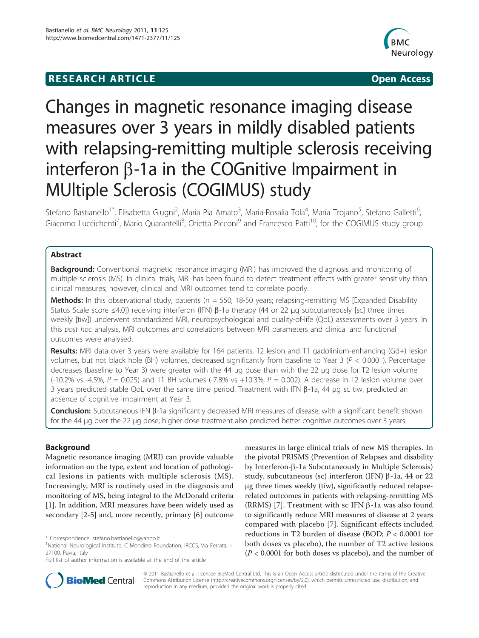# **RESEARCH ARTICLE Example 2018 12:00 Open Access**



# Changes in magnetic resonance imaging disease measures over 3 years in mildly disabled patients with relapsing-remitting multiple sclerosis receiving interferon  $\beta$ -1a in the COGnitive Impairment in MUltiple Sclerosis (COGIMUS) study

Stefano Bastianello<sup>1\*</sup>, Elisabetta Giugni<sup>2</sup>, Maria Pia Amato<sup>3</sup>, Maria-Rosalia Tola<sup>4</sup>, Maria Trojano<sup>5</sup>, Stefano Galletti<sup>6</sup> , Giacomo Luccichenti<sup>7</sup>, Mario Quarantelli<sup>8</sup>, Orietta Picconi<sup>9</sup> and Francesco Patti<sup>10</sup>, for the COGIMUS study group

# Abstract

**Background:** Conventional magnetic resonance imaging (MRI) has improved the diagnosis and monitoring of multiple sclerosis (MS). In clinical trials, MRI has been found to detect treatment effects with greater sensitivity than clinical measures; however, clinical and MRI outcomes tend to correlate poorly.

**Methods:** In this observational study, patients ( $n = 550$ ; 18-50 years; relapsing-remitting MS [Expanded Disability Status Scale score  $\leq 4.0$ ]) receiving interferon (IFN)  $\beta$ -1a therapy (44 or 22 µg subcutaneously [sc] three times weekly [tiw]) underwent standardized MRI, neuropsychological and quality-of-life (QoL) assessments over 3 years. In this post hoc analysis, MRI outcomes and correlations between MRI parameters and clinical and functional outcomes were analysed.

Results: MRI data over 3 years were available for 164 patients. T2 lesion and T1 gadolinium-enhancing (Gd+) lesion volumes, but not black hole (BH) volumes, decreased significantly from baseline to Year 3 ( $P < 0.0001$ ). Percentage decreases (baseline to Year 3) were greater with the 44 μg dose than with the 22 μg dose for T2 lesion volume (-10.2% vs -4.5%,  $P = 0.025$ ) and T1 BH volumes (-7.8% vs +10.3%,  $P = 0.002$ ). A decrease in T2 lesion volume over 3 years predicted stable QoL over the same time period. Treatment with IFN  $\beta$ -1a, 44 µg sc tiw, predicted an absence of cognitive impairment at Year 3.

**Conclusion:** Subcutaneous IFN  $\beta$ -1a significantly decreased MRI measures of disease, with a significant benefit shown for the 44 µg over the 22 µg dose; higher-dose treatment also predicted better cognitive outcomes over 3 years.

# Background

Magnetic resonance imaging (MRI) can provide valuable information on the type, extent and location of pathological lesions in patients with multiple sclerosis (MS). Increasingly, MRI is routinely used in the diagnosis and monitoring of MS, being integral to the McDonald criteria [[1\]](#page-7-0). In addition, MRI measures have been widely used as secondary [[2-](#page-7-0)[5](#page-8-0)] and, more recently, primary [[6\]](#page-8-0) outcome

measures in large clinical trials of new MS therapies. In the pivotal PRISMS (Prevention of Relapses and disability by Interferon-b-1a Subcutaneously in Multiple Sclerosis) study, subcutaneous (sc) interferon (IFN)  $\beta$ -1a, 44 or 22 µg three times weekly (tiw), significantly reduced relapserelated outcomes in patients with relapsing-remitting MS (RRMS) [[7\]](#page-8-0). Treatment with sc IFN  $\beta$ -1a was also found to significantly reduce MRI measures of disease at 2 years compared with placebo [[7](#page-8-0)]. Significant effects included reductions in T2 burden of disease (BOD; P < 0.0001 for both doses vs placebo), the number of T2 active lesions  $(P < 0.0001$  for both doses vs placebo), and the number of



© 2011 Bastianello et al; licensee BioMed Central Ltd. This is an Open Access article distributed under the terms of the Creative Commons Attribution License [\(http://creativecommons.org/licenses/by/2.0](http://creativecommons.org/licenses/by/2.0)), which permits unrestricted use, distribution, and reproduction in any medium, provided the original work is properly cited.

<sup>\*</sup> Correspondence: [stefano.bastianello@yahoo.it](mailto:stefano.bastianello@yahoo.it)

<sup>&</sup>lt;sup>1</sup>National Neurological Institute, C Mondino Foundation, IRCCS, Via Ferrata, I-27100, Pavia, Italy

Full list of author information is available at the end of the article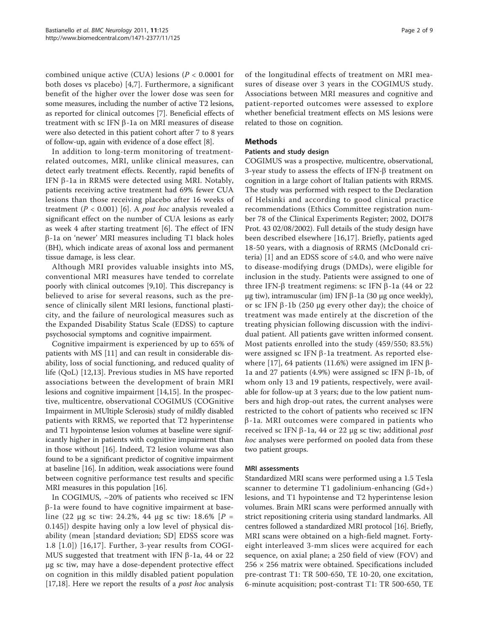combined unique active (CUA) lesions ( $P < 0.0001$  for both doses vs placebo) [[4,7](#page-8-0)]. Furthermore, a significant benefit of the higher over the lower dose was seen for some measures, including the number of active T2 lesions, as reported for clinical outcomes [[7\]](#page-8-0). Beneficial effects of treatment with sc IFN  $\beta$ -1a on MRI measures of disease were also detected in this patient cohort after 7 to 8 years of follow-up, again with evidence of a dose effect [\[8\]](#page-8-0).

In addition to long-term monitoring of treatmentrelated outcomes, MRI, unlike clinical measures, can detect early treatment effects. Recently, rapid benefits of IFN  $\beta$ -1a in RRMS were detected using MRI. Notably, patients receiving active treatment had 69% fewer CUA lesions than those receiving placebo after 16 weeks of treatment ( $P < 0.001$ ) [[6\]](#page-8-0). A *post hoc* analysis revealed a significant effect on the number of CUA lesions as early as week 4 after starting treatment [\[6](#page-8-0)]. The effect of IFN b-1a on 'newer' MRI measures including T1 black holes (BH), which indicate areas of axonal loss and permanent tissue damage, is less clear.

Although MRI provides valuable insights into MS, conventional MRI measures have tended to correlate poorly with clinical outcomes [[9,10\]](#page-8-0). This discrepancy is believed to arise for several reasons, such as the presence of clinically silent MRI lesions, functional plasticity, and the failure of neurological measures such as the Expanded Disability Status Scale (EDSS) to capture psychosocial symptoms and cognitive impairment.

Cognitive impairment is experienced by up to 65% of patients with MS [[11\]](#page-8-0) and can result in considerable disability, loss of social functioning, and reduced quality of life (QoL) [[12,13\]](#page-8-0). Previous studies in MS have reported associations between the development of brain MRI lesions and cognitive impairment [\[14,15\]](#page-8-0). In the prospective, multicentre, observational COGIMUS (COGnitive Impairment in MUltiple Sclerosis) study of mildly disabled patients with RRMS, we reported that T2 hyperintense and T1 hypointense lesion volumes at baseline were significantly higher in patients with cognitive impairment than in those without [\[16](#page-8-0)]. Indeed, T2 lesion volume was also found to be a significant predictor of cognitive impairment at baseline [[16\]](#page-8-0). In addition, weak associations were found between cognitive performance test results and specific MRI measures in this population [\[16\]](#page-8-0).

In COGIMUS, ~20% of patients who received sc IFN  $\beta$ -1a were found to have cognitive impairment at baseline (22 µg sc tiw: 24.2%, 44 µg sc tiw: 18.6%  $[P =$ 0.145]) despite having only a low level of physical disability (mean [standard deviation; SD] EDSS score was 1.8 [1.0]) [[16](#page-8-0),[17](#page-8-0)]. Further, 3-year results from COGI-MUS suggested that treatment with IFN  $\beta$ -1a, 44 or 22 µg sc tiw, may have a dose-dependent protective effect on cognition in this mildly disabled patient population [[17,18\]](#page-8-0). Here we report the results of a *post hoc* analysis

of the longitudinal effects of treatment on MRI measures of disease over 3 years in the COGIMUS study. Associations between MRI measures and cognitive and patient-reported outcomes were assessed to explore whether beneficial treatment effects on MS lesions were related to those on cognition.

# Methods

# Patients and study design

COGIMUS was a prospective, multicentre, observational, 3-year study to assess the effects of IFN- $\beta$  treatment on cognition in a large cohort of Italian patients with RRMS. The study was performed with respect to the Declaration of Helsinki and according to good clinical practice recommendations (Ethics Committee registration number 78 of the Clinical Experiments Register; 2002, DOI78 Prot. 43 02/08/2002). Full details of the study design have been described elsewhere [[16,17](#page-8-0)]. Briefly, patients aged 18-50 years, with a diagnosis of RRMS (McDonald cri-teria) [\[1](#page-7-0)] and an EDSS score of  $\leq 4.0$ , and who were naïve to disease-modifying drugs (DMDs), were eligible for inclusion in the study. Patients were assigned to one of three IFN- $\beta$  treatment regimens: sc IFN  $\beta$ -1a (44 or 22) μg tiw), intramuscular (im) IFN  $\beta$ -1a (30 μg once weekly), or sc IFN β-1b (250 μg every other day); the choice of treatment was made entirely at the discretion of the treating physician following discussion with the individual patient. All patients gave written informed consent. Most patients enrolled into the study (459/550; 83.5%) were assigned sc IFN  $\beta$ -1a treatment. As reported else-where [[17\]](#page-8-0), 64 patients (11.6%) were assigned im IFN  $\beta$ -1a and 27 patients (4.9%) were assigned sc IFN  $\beta$ -1b, of whom only 13 and 19 patients, respectively, were available for follow-up at 3 years; due to the low patient numbers and high drop-out rates, the current analyses were restricted to the cohort of patients who received sc IFN  $\beta$ -1a. MRI outcomes were compared in patients who received sc IFN  $\beta$ -1a, 44 or 22 µg sc tiw; additional *post* hoc analyses were performed on pooled data from these two patient groups.

# MRI assessments

Standardized MRI scans were performed using a 1.5 Tesla scanner to determine T1 gadolinium-enhancing (Gd+) lesions, and T1 hypointense and T2 hyperintense lesion volumes. Brain MRI scans were performed annually with strict repositioning criteria using standard landmarks. All centres followed a standardized MRI protocol [\[16\]](#page-8-0). Briefly, MRI scans were obtained on a high-field magnet. Fortyeight interleaved 3-mm slices were acquired for each sequence, on axial plane; a 250 field of view (FOV) and  $256 \times 256$  matrix were obtained. Specifications included pre-contrast T1: TR 500-650, TE 10-20, one excitation, 6-minute acquisition; post-contrast T1: TR 500-650, TE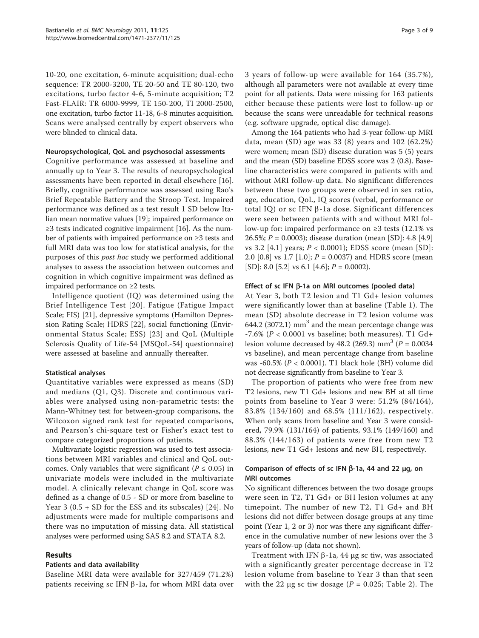10-20, one excitation, 6-minute acquisition; dual-echo sequence: TR 2000-3200, TE 20-50 and TE 80-120, two excitations, turbo factor 4-6, 5-minute acquisition; T2 Fast-FLAIR: TR 6000-9999, TE 150-200, TI 2000-2500, one excitation, turbo factor 11-18, 6-8 minutes acquisition. Scans were analysed centrally by expert observers who were blinded to clinical data.

#### Neuropsychological, QoL and psychosocial assessments

Cognitive performance was assessed at baseline and annually up to Year 3. The results of neuropsychological assessments have been reported in detail elsewhere [\[16](#page-8-0)]. Briefly, cognitive performance was assessed using Rao's Brief Repeatable Battery and the Stroop Test. Impaired performance was defined as a test result 1 SD below Italian mean normative values [[19](#page-8-0)]; impaired performance on  $\geq$ 3 tests indicated cognitive impairment [[16](#page-8-0)]. As the number of patients with impaired performance on ≥3 tests and full MRI data was too low for statistical analysis, for the purposes of this post hoc study we performed additional analyses to assess the association between outcomes and cognition in which cognitive impairment was defined as impaired performance on ≥2 tests.

Intelligence quotient (IQ) was determined using the Brief Intelligence Test [[20\]](#page-8-0). Fatigue (Fatigue Impact Scale; FIS) [[21](#page-8-0)], depressive symptoms (Hamilton Depression Rating Scale; HDRS [[22\]](#page-8-0), social functioning (Environmental Status Scale; ESS) [[23\]](#page-8-0) and QoL (Multiple Sclerosis Quality of Life-54 [MSQoL-54] questionnaire) were assessed at baseline and annually thereafter.

# Statistical analyses

Quantitative variables were expressed as means (SD) and medians (Q1, Q3). Discrete and continuous variables were analysed using non-parametric tests: the Mann-Whitney test for between-group comparisons, the Wilcoxon signed rank test for repeated comparisons, and Pearson's chi-square test or Fisher's exact test to compare categorized proportions of patients.

Multivariate logistic regression was used to test associations between MRI variables and clinical and QoL outcomes. Only variables that were significant ( $P \leq 0.05$ ) in univariate models were included in the multivariate model. A clinically relevant change in QoL score was defined as a change of 0.5 - SD or more from baseline to Year 3  $(0.5 + SD$  for the ESS and its subscales) [\[24](#page-8-0)]. No adjustments were made for multiple comparisons and there was no imputation of missing data. All statistical analyses were performed using SAS 8.2 and STATA 8.2.

# Results

# Patients and data availability

Baseline MRI data were available for 327/459 (71.2%) patients receiving sc IFN  $\beta$ -1a, for whom MRI data over 3 years of follow-up were available for 164 (35.7%), although all parameters were not available at every time point for all patients. Data were missing for 163 patients either because these patients were lost to follow-up or because the scans were unreadable for technical reasons (e.g. software upgrade, optical disc damage).

Among the 164 patients who had 3-year follow-up MRI data, mean (SD) age was 33 (8) years and 102 (62.2%) were women; mean (SD) disease duration was 5 (5) years and the mean (SD) baseline EDSS score was 2 (0.8). Baseline characteristics were compared in patients with and without MRI follow-up data. No significant differences between these two groups were observed in sex ratio, age, education, QoL, IQ scores (verbal, performance or total IQ) or sc IFN  $\beta$ -1a dose. Significant differences were seen between patients with and without MRI follow-up for: impaired performance on  $\geq 3$  tests (12.1% vs 26.5%;  $P = 0.0003$ ); disease duration (mean [SD]: 4.8 [4.9] vs 3.2 [4.1] years;  $P < 0.0001$ ); EDSS score (mean [SD]: 2.0 [0.8] vs 1.7 [1.0];  $P = 0.0037$ ) and HDRS score (mean [SD]: 8.0 [5.2] vs 6.1 [4.6];  $P = 0.0002$ ).

#### Effect of sc IFN  $\beta$ -1a on MRI outcomes (pooled data)

At Year 3, both T2 lesion and T1 Gd+ lesion volumes were significantly lower than at baseline (Table [1](#page-3-0)). The mean (SD) absolute decrease in T2 lesion volume was 644.2 (3072.1) mm<sup>3</sup> and the mean percentage change was -7.6% ( $P < 0.0001$  vs baseline; both measures). T1 Gd+ lesion volume decreased by 48.2 (269.3) mm<sup>3</sup> ( $P = 0.0034$ vs baseline), and mean percentage change from baseline was -60.5% (P < 0.0001). T1 black hole (BH) volume did not decrease significantly from baseline to Year 3.

The proportion of patients who were free from new T2 lesions, new T1 Gd+ lesions and new BH at all time points from baseline to Year 3 were: 51.2% (84/164), 83.8% (134/160) and 68.5% (111/162), respectively. When only scans from baseline and Year 3 were considered, 79.9% (131/164) of patients, 93.1% (149/160) and 88.3% (144/163) of patients were free from new T2 lesions, new T1 Gd+ lesions and new BH, respectively.

# Comparison of effects of sc IFN  $\beta$ -1a, 44 and 22 µg, on MRI outcomes

No significant differences between the two dosage groups were seen in T2, T1 Gd+ or BH lesion volumes at any timepoint. The number of new T2, T1 Gd+ and BH lesions did not differ between dosage groups at any time point (Year 1, 2 or 3) nor was there any significant difference in the cumulative number of new lesions over the 3 years of follow-up (data not shown).

Treatment with IFN  $\beta$ -1a, 44 µg sc tiw, was associated with a significantly greater percentage decrease in T2 lesion volume from baseline to Year 3 than that seen with the [2](#page-4-0)2 µg sc tiw dosage ( $P = 0.025$ ; Table 2). The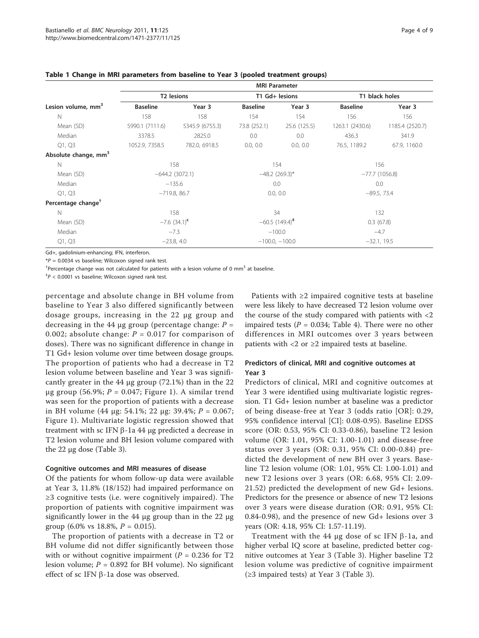|                                  | <b>MRI Parameter</b>       |                 |                                             |              |                 |                 |  |
|----------------------------------|----------------------------|-----------------|---------------------------------------------|--------------|-----------------|-----------------|--|
|                                  | T <sub>2</sub> lesions     |                 | T1 Gd+ lesions                              |              | T1 black holes  |                 |  |
| Lesion volume, mm <sup>3</sup>   | <b>Baseline</b>            | Year 3          | <b>Baseline</b>                             | Year 3       | <b>Baseline</b> | Year 3          |  |
| N                                | 158                        | 158             | 154                                         | 154          | 156             | 156             |  |
| Mean (SD)                        | 5990.1 (7111.6)            | 5345.9 (6755.3) | 73.8 (252.1)                                | 25.6 (125.5) | 1263.1 (2430.6) | 1185.4 (2520.7) |  |
| Median                           | 3378.5                     | 2825.0          | 0.0                                         | 0.0          | 436.3           | 341.9           |  |
| Q1, Q3                           | 1052.9, 7358.5             | 782.0, 6918.5   | 0.0, 0.0                                    | 0.0, 0.0     | 76.5, 1189.2    | 67.9, 1160.0    |  |
| Absolute change, mm <sup>3</sup> |                            |                 |                                             |              |                 |                 |  |
| N                                | 158                        |                 | 154                                         |              | 156             |                 |  |
| Mean (SD)                        | $-644.2$ (3072.1)          |                 | $-48.2$ (269.3)*                            |              | $-77.7(1056.8)$ |                 |  |
| Median                           | $-135.6$                   |                 | 0.0                                         |              | 0.0             |                 |  |
| Q1, Q3                           | $-719.8, 86.7$             |                 | 0.0, 0.0                                    |              | $-89.5, 73.4$   |                 |  |
| Percentage change <sup>+</sup>   |                            |                 |                                             |              |                 |                 |  |
| $\mathbb N$                      | 158                        |                 | 34                                          |              | 132             |                 |  |
| Mean (SD)                        | $-7.6$ (34.1) <sup>c</sup> |                 | $-60.5$ (149.4) <sup><math>\pm</math></sup> |              | 0.3(67.8)       |                 |  |
| Median                           | $-7.3$                     |                 | $-100.0$                                    |              | $-4.7$          |                 |  |
| Q1, Q3                           | $-23.8, 4.0$               |                 | $-100.0, -100.0$                            |              | $-32.1, 19.5$   |                 |  |

#### <span id="page-3-0"></span>Table 1 Change in MRI parameters from baseline to Year 3 (pooled treatment groups)

Gd+, gadolinium-enhancing; IFN, interferon.

 $*P = 0.0034$  vs baseline; Wilcoxon signed rank test.

<sup>+</sup>Percentage change was not calculated for patients with a lesion volume of 0 mm<sup>3</sup> at baseline.

 $p^*P < 0.0001$  vs baseline; Wilcoxon signed rank test.

percentage and absolute change in BH volume from baseline to Year 3 also differed significantly between dosage groups, increasing in the 22 µg group and decreasing in the 44  $\mu$ g group (percentage change:  $P =$ 0.002; absolute change:  $P = 0.017$  for comparison of doses). There was no significant difference in change in T1 Gd+ lesion volume over time between dosage groups. The proportion of patients who had a decrease in T2 lesion volume between baseline and Year 3 was significantly greater in the 44 µg group (72.1%) than in the 22  $\mu$ g group (56.9%; P = 0.047; Figure [1](#page-5-0)). A similar trend was seen for the proportion of patients with a decrease in BH volume (44 µg: 54.1%; 22 µg: 39.4%; P = 0.067; Figure [1](#page-5-0)). Multivariate logistic regression showed that treatment with sc IFN  $\beta$ -1a 44 µg predicted a decrease in T2 lesion volume and BH lesion volume compared with the 22 µg dose (Table [3](#page-5-0)).

#### Cognitive outcomes and MRI measures of disease

Of the patients for whom follow-up data were available at Year 3, 11.8% (18/152) had impaired performance on ≥3 cognitive tests (i.e. were cognitively impaired). The proportion of patients with cognitive impairment was significantly lower in the  $44 \mu$ g group than in the  $22 \mu$ g group (6.0% vs 18.8%,  $P = 0.015$ ).

The proportion of patients with a decrease in T2 or BH volume did not differ significantly between those with or without cognitive impairment ( $P = 0.236$  for T2 lesion volume;  $P = 0.892$  for BH volume). No significant effect of sc IFN  $\beta$ -1a dose was observed.

Patients with ≥2 impaired cognitive tests at baseline were less likely to have decreased T2 lesion volume over the course of the study compared with patients with <2 impaired tests ( $P = 0.034$ ; Table [4\)](#page-6-0). There were no other differences in MRI outcomes over 3 years between patients with  $\langle 2 \text{ or } \geq 2 \rangle$  impaired tests at baseline.

# Predictors of clinical, MRI and cognitive outcomes at Year 3

Predictors of clinical, MRI and cognitive outcomes at Year 3 were identified using multivariate logistic regression. T1 Gd+ lesion number at baseline was a predictor of being disease-free at Year 3 (odds ratio [OR]: 0.29, 95% confidence interval [CI]: 0.08-0.95). Baseline EDSS score (OR: 0.53, 95% CI: 0.33-0.86), baseline T2 lesion volume (OR: 1.01, 95% CI: 1.00-1.01) and disease-free status over 3 years (OR: 0.31, 95% CI: 0.00-0.84) predicted the development of new BH over 3 years. Baseline T2 lesion volume (OR: 1.01, 95% CI: 1.00-1.01) and new T2 lesions over 3 years (OR: 6.68, 95% CI: 2.09- 21.52) predicted the development of new Gd+ lesions. Predictors for the presence or absence of new T2 lesions over 3 years were disease duration (OR: 0.91, 95% CI: 0.84-0.98), and the presence of new Gd+ lesions over 3 years (OR: 4.18, 95% CI: 1.57-11.19).

Treatment with the 44  $\mu$ g dose of sc IFN  $\beta$ -1a, and higher verbal IQ score at baseline, predicted better cognitive outcomes at Year 3 (Table [3](#page-5-0)). Higher baseline T2 lesion volume was predictive of cognitive impairment (≥3 impaired tests) at Year 3 (Table [3](#page-5-0)).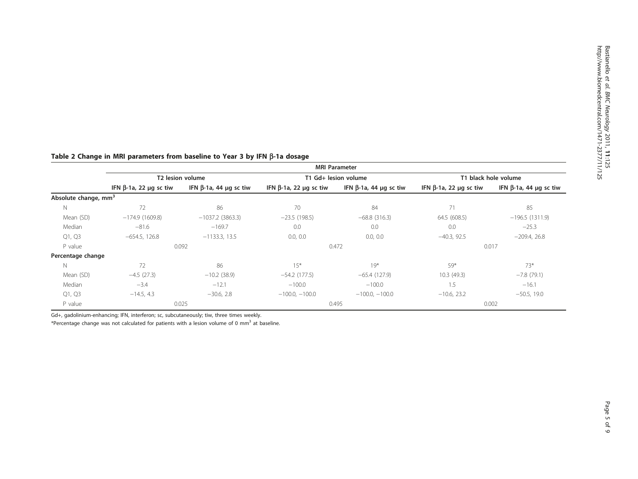|                                  | <b>MRI Parameter</b>          |                           |                               |                               |                               |                               |  |  |
|----------------------------------|-------------------------------|---------------------------|-------------------------------|-------------------------------|-------------------------------|-------------------------------|--|--|
|                                  | T2 lesion volume              |                           | T1 Gd+ lesion volume          |                               | T1 black hole volume          |                               |  |  |
|                                  | IFN $\beta$ -1a, 22 µg sc tiw | IFN $β$ -1a, 44 μg sc tiw | IFN $\beta$ -1a, 22 µg sc tiw | IFN $\beta$ -1a, 44 µg sc tiw | IFN $\beta$ -1a, 22 µg sc tiw | IFN $\beta$ -1a, 44 µg sc tiw |  |  |
| Absolute change, mm <sup>3</sup> |                               |                           |                               |                               |                               |                               |  |  |
| $\mathbb N$                      | 72                            | 86                        | 70                            | 84                            | 71                            | 85                            |  |  |
| Mean (SD)                        | $-174.9(1609.8)$              | $-1037.2(3863.3)$         | $-23.5(198.5)$                | $-68.8(316.3)$                | 64.5 (608.5)                  | $-196.5(1311.9)$              |  |  |
| Median                           | $-81.6$                       | $-169.7$                  | 0.0                           | 0.0                           | 0.0                           | $-25.3$                       |  |  |
| Q1, Q3                           | $-654.5, 126.8$               | $-1133.3, 13.5$           | 0.0, 0.0                      | 0.0, 0.0                      | $-40.3, 92.5$                 | $-209.4, 26.8$                |  |  |
| P value                          | 0.092                         |                           | 0.472                         |                               | 0.017                         |                               |  |  |
| Percentage change                |                               |                           |                               |                               |                               |                               |  |  |
| $\mathbb N$                      | 72                            | 86                        | $15*$                         | $19*$                         | 59*                           | $73*$                         |  |  |
| Mean (SD)                        | $-4.5(27.3)$                  | $-10.2$ (38.9)            | $-54.2$ (177.5)               | $-65.4(127.9)$                | 10.3(49.3)                    | $-7.8(79.1)$                  |  |  |
| Median                           | $-3.4$                        | $-12.1$                   | $-100.0$                      | $-100.0$                      | 1.5                           | $-16.1$                       |  |  |
| Q1, Q3                           | $-14.5, 4.3$                  | $-30.6, 2.8$              | $-100.0, -100.0$              | $-100.0, -100.0$              | $-10.6, 23.2$                 | $-50.5, 19.0$                 |  |  |
| P value                          | 0.025                         |                           | 0.495                         |                               | 0.002                         |                               |  |  |

# <span id="page-4-0"></span>Table 2 Change in MRI parameters from baseline to Year 3 by IFN  $\beta$ -1a dosage

Gd+, gadolinium-enhancing; IFN, interferon; sc, subcutaneously; tiw, three times weekly.

\*Percentage change was not calculated for patients with a lesion volume of 0 mm<sup>3</sup> at baseline.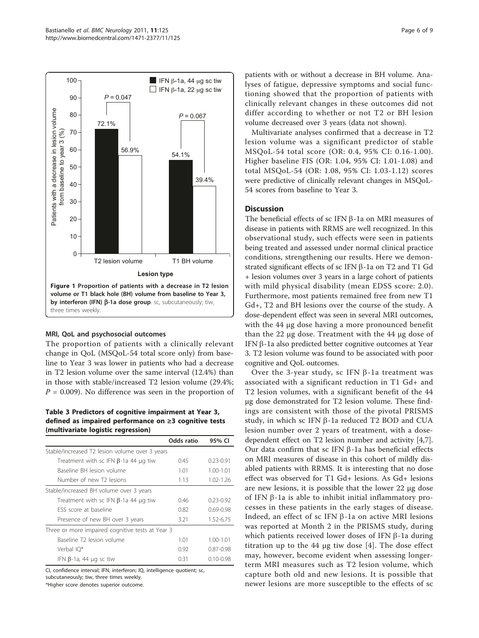<span id="page-5-0"></span>

#### MRI, QoL and psychosocial outcomes

The proportion of patients with a clinically relevant change in QoL (MSQoL-54 total score only) from baseline to Year 3 was lower in patients who had a decrease in T2 lesion volume over the same interval (12.4%) than in those with stable/increased T2 lesion volume (29.4%;  $P = 0.009$ ). No difference was seen in the proportion of

Table 3 Predictors of cognitive impairment at Year 3, defined as impaired performance on ≥3 cognitive tests (multivariate logistic regression)

|                                                  | Odds ratio | 95% CI        |
|--------------------------------------------------|------------|---------------|
| Stable/increased T2 lesion volume over 3 years   |            |               |
| Treatment with sc IFN $\beta$ -1a 44 µg tiw      | 0.45       | $0.23 - 0.91$ |
| Baseline BH lesion volume                        | 1.01       | $1.00 - 1.01$ |
| Number of new T2 lesions                         | 1.13       | $1.02 - 1.26$ |
| Stable/increased BH volume over 3 years          |            |               |
| Treatment with sc IFN $\beta$ -1a 44 µg tiw      | 0.46       | $0.23 - 0.92$ |
| <b>ESS</b> score at baseline                     | 0.82       | $0.69 - 0.98$ |
| Presence of new BH over 3 years                  | 3.21       | 1.52-6.75     |
| Three or more impaired cognitive tests at Year 3 |            |               |
| Baseline T2 lesion volume                        | 1.01       | $1.00 - 1.01$ |
| Verbal IO*                                       | 0.92       | $0.87 - 0.98$ |
| IFN $\beta$ -1a, 44 µg sc tiw                    | 0.31       | $0.10 - 0.98$ |

CI, confidence interval; IFN, interferon; IQ, intelligence quotient; sc, subcutaneously; tiw, three times weekly.

\*Higher score denotes superior outcome.

patients with or without a decrease in BH volume. Analyses of fatigue, depressive symptoms and social functioning showed that the proportion of patients with clinically relevant changes in these outcomes did not differ according to whether or not T2 or BH lesion volume decreased over 3 years (data not shown).

Multivariate analyses confirmed that a decrease in T2 lesion volume was a significant predictor of stable MSQoL-54 total score (OR: 0.4, 95% CI: 0.16-1.00). Higher baseline FIS (OR: 1.04, 95% CI: 1.01-1.08) and total MSQoL-54 (OR: 1.08, 95% CI: 1.03-1.12) scores were predictive of clinically relevant changes in MSQoL-54 scores from baseline to Year 3.

#### **Discussion**

The beneficial effects of sc IFN B-1a on MRI measures of disease in patients with RRMS are well recognized. In this observational study, such effects were seen in patients being treated and assessed under normal clinical practice conditions, strengthening our results. Here we demonstrated significant effects of sc IFN  $\beta$ -1a on T2 and T1 Gd + lesion volumes over 3 years in a large cohort of patients with mild physical disability (mean EDSS score: 2.0). Furthermore, most patients remained free from new T1 Gd+, T2 and BH lesions over the course of the study. A dose-dependent effect was seen in several MRI outcomes, with the 44 µg dose having a more pronounced benefit than the 22 µg dose. Treatment with the 44 µg dose of IFN  $\beta$ -1a also predicted better cognitive outcomes at Year 3. T2 lesion volume was found to be associated with poor cognitive and QoL outcomes.

Over the 3-year study, sc IFN  $\beta$ -1a treatment was associated with a significant reduction in T1 Gd+ and T2 lesion volumes, with a significant benefit of the 44 μg dose demonstrated for T2 lesion volume. These findings are consistent with those of the pivotal PRISMS study, in which sc IFN  $\beta$ -1a reduced T2 BOD and CUA lesion number over 2 years of treatment, with a dosedependent effect on T2 lesion number and activity [\[4,7](#page-8-0)]. Our data confirm that sc IFN  $\beta$ -1a has beneficial effects on MRI measures of disease in this cohort of mildly disabled patients with RRMS. It is interesting that no dose effect was observed for T1 Gd+ lesions. As Gd+ lesions are new lesions, it is possible that the lower 22 μg dose of IFN  $\beta$ -1a is able to inhibit initial inflammatory processes in these patients in the early stages of disease. Indeed, an effect of sc IFN  $\beta$ -1a on active MRI lesions was reported at Month 2 in the PRISMS study, during which patients received lower doses of IFN  $\beta$ -1a during titration up to the 44 µg tiw dose [[4\]](#page-8-0). The dose effect may, however, become evident when assessing longerterm MRI measures such as T2 lesion volume, which capture both old and new lesions. It is possible that newer lesions are more susceptible to the effects of sc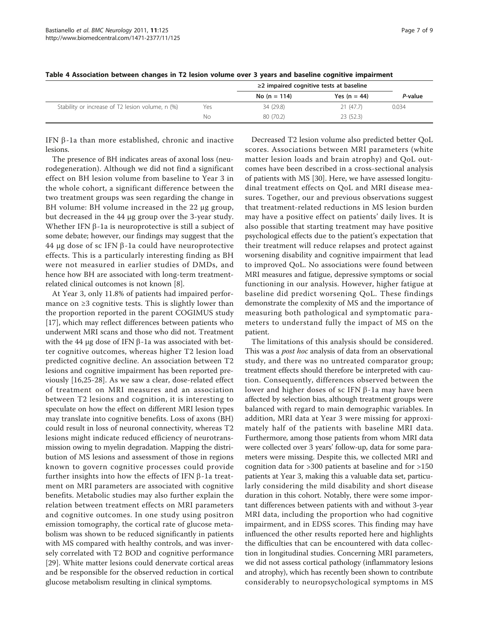|                                                  |     | $\geq$ 2 impaired cognitive tests at baseline |                |         |
|--------------------------------------------------|-----|-----------------------------------------------|----------------|---------|
|                                                  |     | No $(n = 114)$                                | Yes $(n = 44)$ | P-value |
| Stability or increase of T2 lesion volume, n (%) | Yes | 34 (29.8)                                     | 21(47.7)       | 0.034   |
|                                                  | Nο  | 80 (70.2)                                     | 23(52.3)       |         |

# <span id="page-6-0"></span>Table 4 Association between changes in T2 lesion volume over 3 years and baseline cognitive impairment

IFN  $\beta$ -1a than more established, chronic and inactive lesions.

The presence of BH indicates areas of axonal loss (neurodegeneration). Although we did not find a significant effect on BH lesion volume from baseline to Year 3 in the whole cohort, a significant difference between the two treatment groups was seen regarding the change in BH volume: BH volume increased in the 22 µg group, but decreased in the 44 µg group over the 3-year study. Whether IFN  $\beta$ -1a is neuroprotective is still a subject of some debate; however, our findings may suggest that the 44  $\mu$ g dose of sc IFN  $\beta$ -1a could have neuroprotective effects. This is a particularly interesting finding as BH were not measured in earlier studies of DMDs, and hence how BH are associated with long-term treatmentrelated clinical outcomes is not known [\[8](#page-8-0)].

At Year 3, only 11.8% of patients had impaired performance on ≥3 cognitive tests. This is slightly lower than the proportion reported in the parent COGIMUS study [[17\]](#page-8-0), which may reflect differences between patients who underwent MRI scans and those who did not. Treatment with the 44  $\mu$ g dose of IFN  $\beta$ -1a was associated with better cognitive outcomes, whereas higher T2 lesion load predicted cognitive decline. An association between T2 lesions and cognitive impairment has been reported previously [[16,25-28](#page-8-0)]. As we saw a clear, dose-related effect of treatment on MRI measures and an association between T2 lesions and cognition, it is interesting to speculate on how the effect on different MRI lesion types may translate into cognitive benefits. Loss of axons (BH) could result in loss of neuronal connectivity, whereas T2 lesions might indicate reduced efficiency of neurotransmission owing to myelin degradation. Mapping the distribution of MS lesions and assessment of those in regions known to govern cognitive processes could provide further insights into how the effects of IFN  $\beta$ -1a treatment on MRI parameters are associated with cognitive benefits. Metabolic studies may also further explain the relation between treatment effects on MRI parameters and cognitive outcomes. In one study using positron emission tomography, the cortical rate of glucose metabolism was shown to be reduced significantly in patients with MS compared with healthy controls, and was inversely correlated with T2 BOD and cognitive performance [[29\]](#page-8-0). White matter lesions could denervate cortical areas and be responsible for the observed reduction in cortical glucose metabolism resulting in clinical symptoms.

Decreased T2 lesion volume also predicted better QoL scores. Associations between MRI parameters (white matter lesion loads and brain atrophy) and QoL outcomes have been described in a cross-sectional analysis of patients with MS [\[30](#page-8-0)]. Here, we have assessed longitudinal treatment effects on QoL and MRI disease measures. Together, our and previous observations suggest that treatment-related reductions in MS lesion burden may have a positive effect on patients' daily lives. It is also possible that starting treatment may have positive psychological effects due to the patient's expectation that their treatment will reduce relapses and protect against worsening disability and cognitive impairment that lead to improved QoL. No associations were found between MRI measures and fatigue, depressive symptoms or social functioning in our analysis. However, higher fatigue at baseline did predict worsening QoL. These findings demonstrate the complexity of MS and the importance of measuring both pathological and symptomatic parameters to understand fully the impact of MS on the patient.

The limitations of this analysis should be considered. This was a *post hoc* analysis of data from an observational study, and there was no untreated comparator group; treatment effects should therefore be interpreted with caution. Consequently, differences observed between the lower and higher doses of sc IFN  $\beta$ -1a may have been affected by selection bias, although treatment groups were balanced with regard to main demographic variables. In addition, MRI data at Year 3 were missing for approximately half of the patients with baseline MRI data. Furthermore, among those patients from whom MRI data were collected over 3 years' follow-up, data for some parameters were missing. Despite this, we collected MRI and cognition data for >300 patients at baseline and for >150 patients at Year 3, making this a valuable data set, particularly considering the mild disability and short disease duration in this cohort. Notably, there were some important differences between patients with and without 3-year MRI data, including the proportion who had cognitive impairment, and in EDSS scores. This finding may have influenced the other results reported here and highlights the difficulties that can be encountered with data collection in longitudinal studies. Concerning MRI parameters, we did not assess cortical pathology (inflammatory lesions and atrophy), which has recently been shown to contribute considerably to neuropsychological symptoms in MS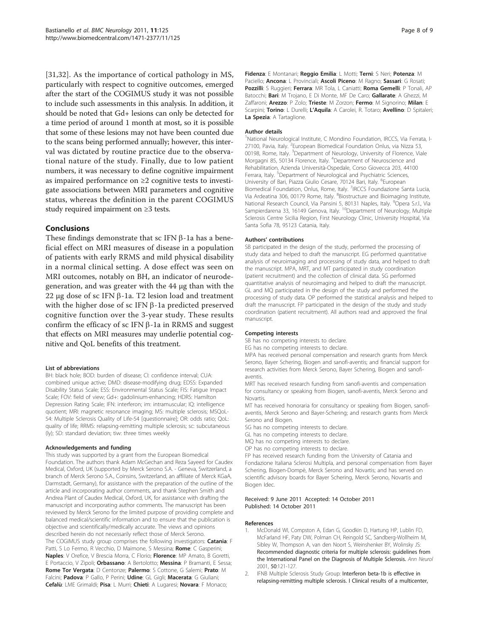<span id="page-7-0"></span>[[31,32\]](#page-8-0). As the importance of cortical pathology in MS, particularly with respect to cognitive outcomes, emerged after the start of the COGIMUS study it was not possible to include such assessments in this analysis. In addition, it should be noted that Gd+ lesions can only be detected for a time period of around 1 month at most, so it is possible that some of these lesions may not have been counted due to the scans being performed annually; however, this interval was dictated by routine practice due to the observational nature of the study. Finally, due to low patient numbers, it was necessary to define cognitive impairment as impaired performance on ≥2 cognitive tests to investigate associations between MRI parameters and cognitive status, whereas the definition in the parent COGIMUS study required impairment on ≥3 tests.

# Conclusions

These findings demonstrate that sc IFN  $\beta$ -1a has a beneficial effect on MRI measures of disease in a population of patients with early RRMS and mild physical disability in a normal clinical setting. A dose effect was seen on MRI outcomes, notably on BH, an indicator of neurodegeneration, and was greater with the 44 µg than with the 22  $\mu$ g dose of sc IFN  $\beta$ -1a. T2 lesion load and treatment with the higher dose of sc IFN  $\beta$ -1a predicted preserved cognitive function over the 3-year study. These results confirm the efficacy of sc IFN  $\beta$ -1a in RRMS and suggest that effects on MRI measures may underlie potential cognitive and QoL benefits of this treatment.

#### List of abbreviations

BH: black hole; BOD: burden of disease; CI: confidence interval; CUA: combined unique active; DMD: disease-modifying drug; EDSS: Expanded Disability Status Scale; ESS: Environmental Status Scale; FIS: Fatigue Impact Scale; FOV: field of view; Gd+: gadolinium-enhancing; HDRS: Hamilton Depression Rating Scale; IFN: interferon; im: intramuscular; IQ: intelligence quotient; MRI: magnetic resonance imaging; MS: multiple sclerosis; MSQoL-54: Multiple Sclerosis Quality of Life-54 [questionnaire]; OR: odds ratio; QoL: quality of life; RRMS: relapsing-remitting multiple sclerosis; sc: subcutaneous (ly); SD: standard deviation; tiw: three times weekly

#### Acknowledgements and funding

This study was supported by a grant from the European Biomedical Foundation. The authors thank Adam McGechan and Reza Sayeed for Caudex Medical, Oxford, UK (supported by Merck Serono S.A. - Geneva, Switzerland, a branch of Merck Serono S.A., Coinsins, Switzerland, an affiliate of Merck KGaA, Darmstadt, Germany), for assistance with the preparation of the outline of the article and incorporating author comments, and thank Stephen Smith and Andrea Plant of Caudex Medical, Oxford, UK, for assistance with drafting the manuscript and incorporating author comments. The manuscript has been reviewed by Merck Serono for the limited purpose of providing complete and balanced medical/scientific information and to ensure that the publication is objective and scientifically/medically accurate. The views and opinions described herein do not necessarily reflect those of Merck Serono. The COGIMUS study group comprises the following investigators: Catania: F Patti, S Lo Fermo, R Vecchio, D Maimone, S Messina; Rome: C Gasperini; Naples: V Orefice, V Brescia Morra, C Florio; Florence: MP Amato, B Goretti, E Portaccio, V Zipoli; Orbassano: A Bertolotto; Messina: P Bramanti, E Sessa; Rome Tor Vergata: D Centonze; Palermo: S Cottone, G Salemi; Prato: M Falcini; Padova: P Gallo, P Perini; Udine: GL Gigli; Macerata: G Giuliani; Cefalù: LME Grimaldi; Pisa: L Murri; Chieti: A Lugaresi; Novara: F Monaco;

Fidenza: E Montanari; Reggio Emilia: L Motti; Terni: S Neri; Potenza: M Paciello; **Ancona**: L Provinciali; **Ascoli Piceno**: M Ragno; Sassari: G Rosati; Pozzilli: S Ruggieri; Ferrara: MR Tola, L Caniatti; Roma Gemelli: P Tonali, AP Batocchi; Bari: M Trojano, E Di Monte, MF De Caro; Gallarate: A Ghezzi, M Zaffaroni: Arezzo: P Zolo: Trieste: M Zorzon: Fermo: M Signorino: Milan: F Scarpini; Torino: L Durelli; L'Aquila: A Carolei, R. Totaro; Avellino: D Spitaleri; La Spezia: A Tartaglione.

#### Author details

<sup>1</sup>National Neurological Institute, C Mondino Foundation, IRCCS, Via Ferrata, I-27100, Pavia, Italy.<sup>72</sup> European Biomedical Foundation Onlus, via Nizza 53 00198, Rome, Italy. <sup>3</sup>Department of Neurology, University of Florence, Viale Morgagni 85, 50134 Florence, Italy. <sup>4</sup>Department of Neuroscience and Rehabilitation, Azienda Università-Ospedale, Corso Giovecca 203, 44100 Ferrara, Italy. <sup>5</sup>Department of Neurological and Psychiatric Sciences University of Bari, Piazza Giulio Cesare, 70124 Bari, Italy. <sup>6</sup>European Biomedical Foundation, Onlus, Rome, Italy. <sup>7</sup>IRCCS Foundazione Santa Lucia, Via Ardeatina 306, 00179 Rome, Italy. <sup>8</sup>Biostructure and Bioimaging Institute National Research Council, Via Pansini 5, 80131 Naples, Italy. <sup>9</sup>Opera S.r.l., Via Sampierdarena 33, 16149 Genova, Italy. <sup>10</sup>Department of Neurology, Multiple Sclerosis Centre Sicilia Region, First Neurology Clinic, University Hospital, Via Santa Sofia 78, 95123 Catania, Italy.

#### Authors' contributions

SB participated in the design of the study, performed the processing of study data and helped to draft the manuscript. EG performed quantitative analysis of neuroimaging and processing of study data, and helped to draft the manuscript. MPA, MRT, and MT participated in study coordination (patient recruitment) and the collection of clinical data. SG performed quantitative analysis of neuroimaging and helped to draft the manuscript. GL and MQ participated in the design of the study and performed the processing of study data. OP performed the statistical analysis and helped to draft the manuscript. FP participated in the design of the study and study coordination (patient recruitment). All authors read and approved the final manuscript.

#### Competing interests

SB has no competing interests to declare.

EG has no competing interests to declare.

MPA has received personal compensation and research grants from Merck Serono, Bayer Schering, Biogen and sanofi-aventis; and financial support for research activities from Merck Serono, Bayer Schering, Biogen and sanofiaventis.

MRT has received research funding from sanofi-aventis and compensation for consultancy or speaking from Biogen, sanofi-aventis, Merck Serono and Novartis.

MT has received honoraria for consultancy or speaking from Biogen, sanofiaventis, Merck Serono and Bayer-Schering; and research grants from Merck Serono and Biogen.

SG has no competing interests to declare.

GL has no competing interests to declare.

MQ has no competing interests to declare.

OP has no competing interests to declare.

FP has received research funding from the University of Catania and Fondazione Italiana Sclerosi Multipla, and personal compensation from Bayer Schering, Biogen-Dompè, Merck Serono and Novartis; and has served on scientific advisory boards for Bayer Schering, Merck Serono, Novartis and Biogen Idec.

#### Received: 9 June 2011 Accepted: 14 October 2011 Published: 14 October 2011

#### References

- 1. McDonald WI, Compston A, Edan G, Goodkin D, Hartung HP, Lublin FD, McFarland HF, Paty DW, Polman CH, Reingold SC, Sandberg-Wollheim M, Sibley W, Thompson A, van den Noort S, Weinshenker BY, Wolinsky JS: [Recommended diagnostic criteria for multiple sclerosis: guidelines from](http://www.ncbi.nlm.nih.gov/pubmed/11456302?dopt=Abstract) [the International Panel on the Diagnosis of Multiple Sclerosis.](http://www.ncbi.nlm.nih.gov/pubmed/11456302?dopt=Abstract) Ann Neurol 2001, 50:121-127.
- 2. IFNB Multiple Sclerosis Study Group: [Interferon beta-1b is effective in](http://www.ncbi.nlm.nih.gov/pubmed/8469318?dopt=Abstract) [relapsing-remitting multiple sclerosis. I Clinical results of a multicenter,](http://www.ncbi.nlm.nih.gov/pubmed/8469318?dopt=Abstract)